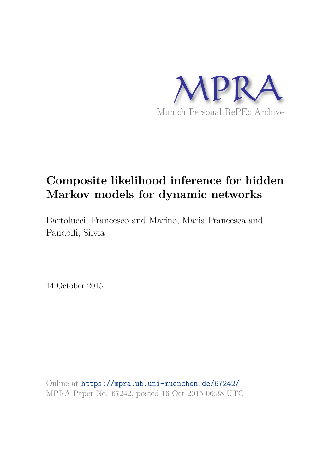

# **Composite likelihood inference for hidden Markov models for dynamic networks**

Bartolucci, Francesco and Marino, Maria Francesca and Pandolfi, Silvia

14 October 2015

Online at https://mpra.ub.uni-muenchen.de/67242/ MPRA Paper No. 67242, posted 16 Oct 2015 06:38 UTC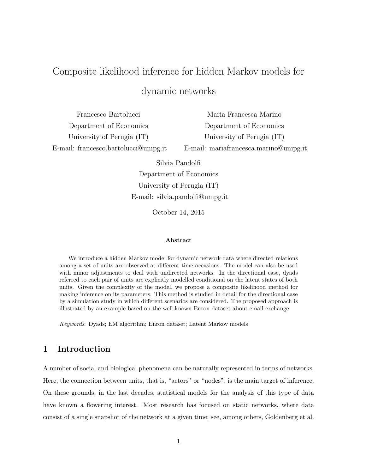# Composite likelihood inference for hidden Markov models for dynamic networks

| Francesco Bartolucci                      | Maria Francesca Marino                 |
|-------------------------------------------|----------------------------------------|
| Department of Economics                   | Department of Economics                |
| University of Perugia (IT)                | University of Perugia (IT)             |
| E-mail: francesco.bartolucci $@$ unipg.it | E-mail: mariafrancesca.marino@unipg.it |

Silvia Pandolfi

Department of Economics University of Perugia (IT) E-mail: silvia.pandolfi@unipg.it

October 14, 2015

#### Abstract

We introduce a hidden Markov model for dynamic network data where directed relations among a set of units are observed at different time occasions. The model can also be used with minor adjustments to deal with undirected networks. In the directional case, dyads referred to each pair of units are explicitly modelled conditional on the latent states of both units. Given the complexity of the model, we propose a composite likelihood method for making inference on its parameters. This method is studied in detail for the directional case by a simulation study in which different scenarios are considered. The proposed approach is illustrated by an example based on the well-known Enron dataset about email exchange.

Keywords: Dyads; EM algorithm; Enron dataset; Latent Markov models

## 1 Introduction

A number of social and biological phenomena can be naturally represented in terms of networks. Here, the connection between units, that is, "actors" or "nodes", is the main target of inference. On these grounds, in the last decades, statistical models for the analysis of this type of data have known a flowering interest. Most research has focused on static networks, where data consist of a single snapshot of the network at a given time; see, among others, Goldenberg et al.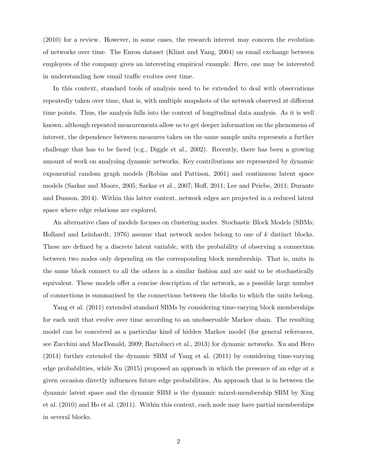(2010) for a review. However, in some cases, the research interest may concern the evolution of networks over time. The Enron dataset (Klimt and Yang, 2004) on email exchange between employees of the company gives an interesting empirical example. Here, one may be interested in understanding how email traffic evolves over time.

In this context, standard tools of analysis need to be extended to deal with observations repeatedly taken over time, that is, with multiple snapshots of the network observed at different time points. Thus, the analysis falls into the context of longitudinal data analysis. As it is well known, although repeated measurements allow us to get deeper information on the phenomena of interest, the dependence between measures taken on the same sample units represents a further challenge that has to be faced (e.g., Diggle et al., 2002). Recently, there has been a growing amount of work on analysing dynamic networks. Key contributions are represented by dynamic exponential random graph models (Robins and Pattison, 2001) and continuous latent space models (Sarkar and Moore, 2005; Sarkar et al., 2007; Hoff, 2011; Lee and Priebe, 2011; Durante and Dunson, 2014). Within this latter context, network edges are projected in a reduced latent space where edge relations are explored.

An alternative class of models focuses on clustering nodes. Stochastic Block Models (SBMs; Holland and Leinhardt, 1976) assume that network nodes belong to one of k distinct blocks. These are defined by a discrete latent variable, with the probability of observing a connection between two nodes only depending on the corresponding block membership. That is, units in the same block connect to all the others in a similar fashion and are said to be stochastically equivalent. These models offer a concise description of the network, as a possible large number of connections is summarised by the connections between the blocks to which the units belong.

Yang et al. (2011) extended standard SBMs by considering time-varying block memberships for each unit that evolve over time according to an unobservable Markov chain. The resulting model can be conceived as a particular kind of hidden Markov model (for general references, see Zucchini and MacDonald, 2009; Bartolucci et al., 2013) for dynamic networks. Xu and Hero (2014) further extended the dynamic SBM of Yang et al. (2011) by considering time-varying edge probabilities, while Xu (2015) proposed an approach in which the presence of an edge at a given occasion directly influences future edge probabilities. An approach that is in between the dynamic latent space and the dynamic SBM is the dynamic mixed-membership SBM by Xing et al. (2010) and Ho et al. (2011). Within this context, each node may have partial memberships in several blocks.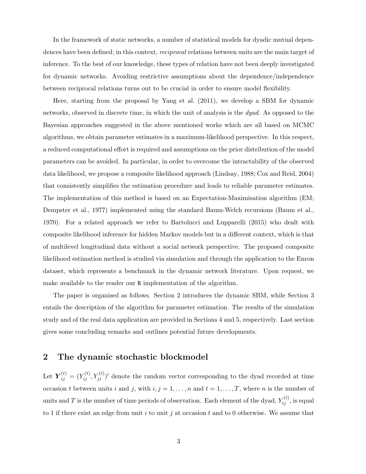In the framework of static networks, a number of statistical models for dyadic mutual dependences have been defined; in this context, *reciprocal* relations between units are the main target of inference. To the best of our knowledge, these types of relation have not been deeply investigated for dynamic networks. Avoiding restrictive assumptions about the dependence/independence between reciprocal relations turns out to be crucial in order to ensure model flexibility.

Here, starting from the proposal by Yang et al. (2011), we develop a SBM for dynamic networks, observed in discrete time, in which the unit of analysis is the dyad. As opposed to the Bayesian approaches suggested in the above mentioned works which are all based on MCMC algorithms, we obtain parameter estimates in a maximum-likelihood perspective. In this respect, a reduced computational effort is required and assumptions on the prior distribution of the model parameters can be avoided. In particular, in order to overcome the intractability of the observed data likelihood, we propose a composite likelihood approach (Lindsay, 1988; Cox and Reid, 2004) that consistently simplifies the estimation procedure and leads to reliable parameter estimates. The implementation of this method is based on an Expectation-Maximisation algorithm (EM; Dempster et al., 1977) implemented using the standard Baum-Welch recursions (Baum et al., 1970). For a related approach we refer to Bartolucci and Lupparelli (2015) who dealt with composite likelihood inference for hidden Markov models but in a different context, which is that of multilevel longitudinal data without a social network perspective. The proposed composite likelihood estimation method is studied via simulation and through the application to the Enron dataset, which represents a benchmark in the dynamic network literature. Upon request, we make available to the reader our R implementation of the algorithm.

The paper is organised as follows. Section 2 introduces the dynamic SBM, while Section 3 entails the description of the algorithm for parameter estimation. The results of the simulation study and of the real data application are provided in Sections 4 and 5, respectively. Last section gives some concluding remarks and outlines potential future developments.

### 2 The dynamic stochastic blockmodel

Let  $\boldsymbol{Y}_{ij}^{(t)} = (Y_{ij}^{(t)}, Y_{ji}^{(t)})'$  denote the random vector corresponding to the dyad recorded at time occasion t between units i and j, with  $i, j = 1, \ldots, n$  and  $t = 1, \ldots, T$ , where n is the number of units and T is the number of time periods of observation. Each element of the dyad,  $Y_{ij}^{(t)}$ , is equal to 1 if there exist an edge from unit i to unit j at occasion t and to 0 otherwise. We assume that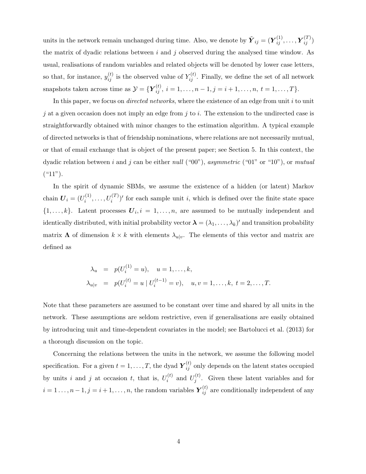units in the network remain unchanged during time. Also, we denote by  $\tilde{\boldsymbol{Y}}_{ij} = (\boldsymbol{Y}_{ij}^{(1)}, \dots, \boldsymbol{Y}_{ij}^{(T)})$ the matrix of dyadic relations between  $i$  and  $j$  observed during the analysed time window. As usual, realisations of random variables and related objects will be denoted by lower case letters, so that, for instance,  $y_{ij}^{(t)}$  is the observed value of  $Y_{ij}^{(t)}$ . Finally, we define the set of all network snapshots taken across time as  $\mathcal{Y} = {\{\boldsymbol{Y}_{ij}^{(t)},\ i=1,\ldots,n-1, j=i+1,\ldots,n,\ t=1,\ldots,T\}}.$ 

In this paper, we focus on *directed networks*, where the existence of an edge from unit i to unit j at a given occasion does not imply an edge from j to i. The extension to the undirected case is straightforwardly obtained with minor changes to the estimation algorithm. A typical example of directed networks is that of friendship nominations, where relations are not necessarily mutual, or that of email exchange that is object of the present paper; see Section 5. In this context, the dyadic relation between i and j can be either null ("00"), asymmetric ("01" or "10"), or mutual  $($  "11").

In the spirit of dynamic SBMs, we assume the existence of a hidden (or latent) Markov chain  $\boldsymbol{U}_i = (U_i^{(1)}$  $U_i^{(1)}, \ldots, U_i^{(T)}$ ' for each sample unit *i*, which is defined over the finite state space  $\{1,\ldots,k\}$ . Latent processes  $\boldsymbol{U}_i$ ,  $i=1,\ldots,n$ , are assumed to be mutually independent and identically distributed, with initial probability vector  $\boldsymbol{\lambda} = (\lambda_1, \dots, \lambda_k)'$  and transition probability matrix  $\Lambda$  of dimension  $k \times k$  with elements  $\lambda_{u|v}$ . The elements of this vector and matrix are defined as

$$
\lambda_u = p(U_i^{(1)} = u), \quad u = 1, ..., k,
$$
  
\n
$$
\lambda_{u|v} = p(U_i^{(t)} = u \mid U_i^{(t-1)} = v), \quad u, v = 1, ..., k, t = 2, ..., T.
$$

Note that these parameters are assumed to be constant over time and shared by all units in the network. These assumptions are seldom restrictive, even if generalisations are easily obtained by introducing unit and time-dependent covariates in the model; see Bartolucci et al. (2013) for a thorough discussion on the topic.

Concerning the relations between the units in the network, we assume the following model specification. For a given  $t = 1, ..., T$ , the dyad  $\boldsymbol{Y}_{ij}^{(t)}$  only depends on the latent states occupied by units i and j at occasion t, that is,  $U_i^{(t)}$  $U_i^{(t)}$  and  $U_j^{(t)}$  $j^{(i)}$ . Given these latent variables and for  $i = 1 \ldots, n-1, j = i+1, \ldots, n$ , the random variables  $\boldsymbol{Y}_{ij}^{(t)}$  are conditionally independent of any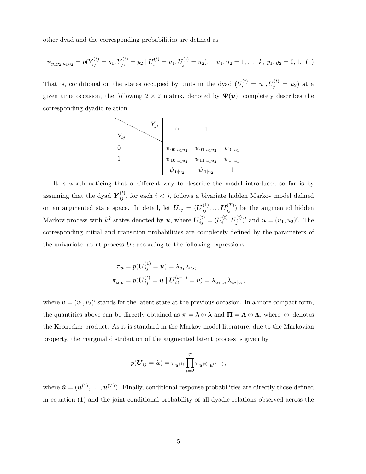other dyad and the corresponding probabilities are defined as

$$
\psi_{y_1 y_2 | u_1 u_2} = p(Y_{ij}^{(t)} = y_1, Y_{ji}^{(t)} = y_2 | U_i^{(t)} = u_1, U_j^{(t)} = u_2), \quad u_1, u_2 = 1, \dots, k, y_1, y_2 = 0, 1. \tag{1}
$$

That is, conditional on the states occupied by units in the dyad  $(U_i^{(t)} = u_1, U_j^{(t)} = u_2)$  at a given time occasion, the following  $2 \times 2$  matrix, denoted by  $\Psi(u)$ , completely describes the corresponding dyadic relation

$$
\begin{array}{c|c|c}\n & Y_{ji} & 0 & 1 \\
\hline\n0 & & \psi_{00|u_1u_2} & \psi_{01|u_1u_2} & \psi_{0\cdot|u_1} \\
\hline\n1 & & \psi_{10|u_1u_2} & \psi_{11|u_1u_2} & \psi_{1\cdot|u_1} \\
\hline\n& & \psi_{\cdot0|u_2} & \psi_{\cdot1|u_2} & 1\n\end{array}
$$

It is worth noticing that a different way to describe the model introduced so far is by assuming that the dyad  $\boldsymbol{Y}_{ij}^{(t)}$ , for each  $i < j$ , follows a bivariate hidden Markov model defined on an augmented state space. In detail, let  $\tilde{U}_{ij} = (U_{ij}^{(1)}, \dots U_{ij}^{(T)})$  be the augmented hidden Markov process with  $k^2$  states denoted by  $u$ , where  $\boldsymbol{U}^{(t)}_{ij} = (U^{(t)}_i)$  $(u_i^{(t)}, U_j^{(t)})'$  and  $u = (u_1, u_2)'$ . The corresponding initial and transition probabilities are completely defined by the parameters of the univariate latent process  $U_i$  according to the following expressions

$$
\pi_{\mathbf{u}} = p(\mathbf{U}_{ij}^{(1)} = \mathbf{u}) = \lambda_{u_1} \lambda_{u_2},
$$
  

$$
\pi_{\mathbf{u}|\mathbf{v}} = p(\mathbf{U}_{ij}^{(t)} = \mathbf{u} | \mathbf{U}_{ij}^{(t-1)} = \mathbf{v}) = \lambda_{u_1|v_1} \lambda_{u_2|v_2},
$$

where  $\mathbf{v} = (v_1, v_2)'$  stands for the latent state at the previous occasion. In a more compact form, the quantities above can be directly obtained as  $\pi = \lambda \otimes \lambda$  and  $\Pi = \Lambda \otimes \Lambda$ , where  $\otimes$  denotes the Kronecker product. As it is standard in the Markov model literature, due to the Markovian property, the marginal distribution of the augmented latent process is given by

$$
p(\tilde{\boldsymbol{U}}_{ij} = \tilde{\boldsymbol{u}}) = \pi_{\boldsymbol{u}^{(1)}} \prod_{t=2}^T \pi_{\boldsymbol{u}^{(t)} | \boldsymbol{u}^{(t-1)}},
$$

where  $\tilde{\boldsymbol{u}} = (\boldsymbol{u}^{(1)}, \dots, \boldsymbol{u}^{(T)})$ . Finally, conditional response probabilities are directly those defined in equation (1) and the joint conditional probability of all dyadic relations observed across the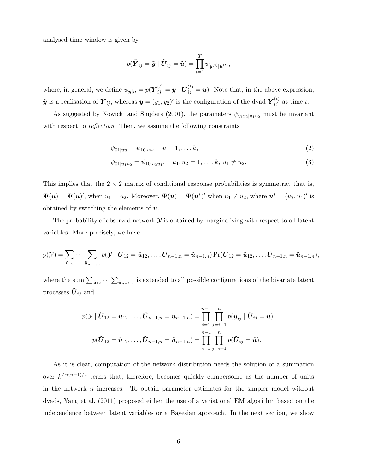analysed time window is given by

$$
p(\tilde{\boldsymbol{Y}}_{ij} = \tilde{\boldsymbol{y}} \mid \tilde{\boldsymbol{U}}_{ij} = \tilde{\boldsymbol{u}}) = \prod_{t=1}^T \psi_{\boldsymbol{y}^{(t)} | \boldsymbol{u}^{(t)}},
$$

where, in general, we define  $\psi_{y|x} = p(Y_{ij}^{(t)} = y | U_{ij}^{(t)} = u)$ . Note that, in the above expression,  $\tilde{\mathbf{y}}$  is a realisation of  $\tilde{\mathbf{Y}}_{ij}$ , whereas  $\mathbf{y} = (y_1, y_2)'$  is the configuration of the dyad  $\mathbf{Y}_{ij}^{(t)}$  at time t.

As suggested by Nowicki and Snijders (2001), the parameters  $\psi_{y_1 y_2|u_1 u_2}$  must be invariant with respect to *reflection*. Then, we assume the following constraints

$$
\psi_{01|uu} = \psi_{10|uu}, \quad u = 1, \dots, k,
$$
\n(2)

$$
\psi_{01|u_1u_2} = \psi_{10|u_2u_1}, \quad u_1, u_2 = 1, \dots, k, \ u_1 \neq u_2. \tag{3}
$$

This implies that the  $2 \times 2$  matrix of conditional response probabilities is symmetric, that is,  $\Psi(\boldsymbol{u}) = \Psi(\boldsymbol{u})'$ , when  $u_1 = u_2$ . Moreover,  $\Psi(\boldsymbol{u}) = \Psi(\boldsymbol{u}^*)'$  when  $u_1 \neq u_2$ , where  $\boldsymbol{u}^* = (u_2, u_1)'$  is obtained by switching the elements of  $u$ .

The probability of observed network  $\mathcal Y$  is obtained by marginalising with respect to all latent variables. More precisely, we have

$$
p(\mathcal{Y}) = \sum_{\tilde{\boldsymbol{u}}_{12}} \cdots \sum_{\tilde{\boldsymbol{u}}_{n-1,n}} p(\mathcal{Y} \mid \tilde{\boldsymbol{U}}_{12} = \tilde{\boldsymbol{u}}_{12}, \ldots, \tilde{\boldsymbol{U}}_{n-1,n} = \tilde{\boldsymbol{u}}_{n-1,n}) \Pr(\tilde{\boldsymbol{U}}_{12} = \tilde{\boldsymbol{u}}_{12}, \ldots, \tilde{\boldsymbol{U}}_{n-1,n} = \tilde{\boldsymbol{u}}_{n-1,n}),
$$

where the sum  $\sum_{\tilde{u}_{12}} \cdots \sum_{\tilde{u}_{n-1,n}}$  is extended to all possible configurations of the bivariate latent processes  $\tilde{U}_{ij}$  and

$$
p(\mathcal{Y} \mid \tilde{\bm{U}}_{12} = \tilde{\bm{u}}_{12}, \dots, \tilde{\bm{U}}_{n-1,n} = \tilde{\bm{u}}_{n-1,n}) = \prod_{i=1}^{n-1} \prod_{j=i+1}^{n} p(\tilde{\bm{y}}_{ij} \mid \tilde{\bm{U}}_{ij} = \tilde{\bm{u}}),
$$

$$
p(\tilde{\bm{U}}_{12} = \tilde{\bm{u}}_{12}, \dots, \tilde{\bm{U}}_{n-1,n} = \tilde{\bm{u}}_{n-1,n}) = \prod_{i=1}^{n-1} \prod_{j=i+1}^{n} p(\tilde{\bm{U}}_{ij} = \tilde{\bm{u}}).
$$

As it is clear, computation of the network distribution needs the solution of a summation over  $k^{T_n(n+1)/2}$  terms that, therefore, becomes quickly cumbersome as the number of units in the network  $n$  increases. To obtain parameter estimates for the simpler model without dyads, Yang et al. (2011) proposed either the use of a variational EM algorithm based on the independence between latent variables or a Bayesian approach. In the next section, we show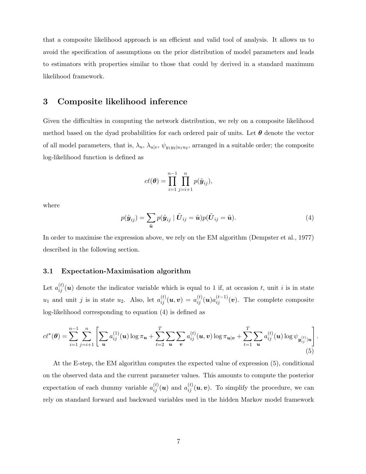that a composite likelihood approach is an efficient and valid tool of analysis. It allows us to avoid the specification of assumptions on the prior distribution of model parameters and leads to estimators with properties similar to those that could by derived in a standard maximum likelihood framework.

## 3 Composite likelihood inference

Given the difficulties in computing the network distribution, we rely on a composite likelihood method based on the dyad probabilities for each ordered pair of units. Let  $\theta$  denote the vector of all model parameters, that is,  $\lambda_u$ ,  $\lambda_{u|v}$ ,  $\psi_{y_1y_2|u_1u_2}$ , arranged in a suitable order; the composite log-likelihood function is defined as

$$
c\ell(\boldsymbol{\theta}) = \prod_{i=1}^{n-1} \prod_{j=i+1}^{n} p(\tilde{\boldsymbol{y}}_{ij}),
$$

where

$$
p(\tilde{\boldsymbol{y}}_{ij}) = \sum_{\tilde{\boldsymbol{u}}} p(\tilde{\boldsymbol{y}}_{ij} \mid \tilde{\boldsymbol{U}}_{ij} = \tilde{\boldsymbol{u}}) p(\tilde{\boldsymbol{U}}_{ij} = \tilde{\boldsymbol{u}}).
$$
\n(4)

.

In order to maximise the expression above, we rely on the EM algorithm (Dempster et al., 1977) described in the following section.

#### 3.1 Expectation-Maximisation algorithm

Let  $a_{ij}^{(t)}(u)$  denote the indicator variable which is equal to 1 if, at occasion t, unit i is in state  $u_1$  and unit j is in state  $u_2$ . Also, let  $a_{ij}^{(t)}(\boldsymbol{u},\boldsymbol{v}) = a_{ij}^{(t)}(\boldsymbol{u})a_{ij}^{(t-1)}(\boldsymbol{v})$ . The complete composite log-likelihood corresponding to equation (4) is defined as

$$
c\ell^*(\boldsymbol{\theta}) = \sum_{i=1}^{n-1} \sum_{j=i+1}^n \left[ \sum_{\boldsymbol{u}} a_{ij}^{(1)}(\boldsymbol{u}) \log \pi_{\boldsymbol{u}} + \sum_{t=2}^T \sum_{\boldsymbol{u}} \sum_{\boldsymbol{v}} a_{ij}^{(t)}(\boldsymbol{u}, \boldsymbol{v}) \log \pi_{\boldsymbol{u}|\boldsymbol{v}} + \sum_{t=1}^T \sum_{\boldsymbol{u}} a_{ij}^{(t)}(\boldsymbol{u}) \log \psi_{\boldsymbol{y}_{ij}^{(t)}|\boldsymbol{u}} \right]
$$
(5)

At the E-step, the EM algorithm computes the expected value of expression (5), conditional on the observed data and the current parameter values. This amounts to compute the posterior expectation of each dummy variable  $a_{ij}^{(t)}(\boldsymbol{u})$  and  $a_{ij}^{(t)}(\boldsymbol{u},\boldsymbol{v})$ . To simplify the procedure, we can rely on standard forward and backward variables used in the hidden Markov model framework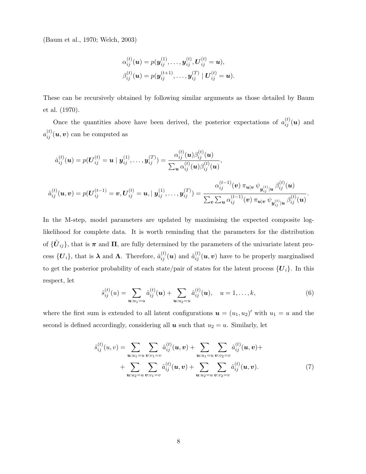(Baum et al., 1970; Welch, 2003)

$$
\alpha_{ij}^{(t)}(\boldsymbol{u}) = p(\boldsymbol{y}_{ij}^{(1)}, \dots, \boldsymbol{y}_{ij}^{(t)}, \boldsymbol{U}_{ij}^{(t)} = \boldsymbol{u}), \beta_{ij}^{(t)}(\boldsymbol{u}) = p(\boldsymbol{y}_{ij}^{(t+1)}, \dots, \boldsymbol{y}_{ij}^{(T)} \mid \boldsymbol{U}_{ij}^{(t)} = \boldsymbol{u}).
$$

These can be recursively obtained by following similar arguments as those detailed by Baum et al. (1970).

Once the quantities above have been derived, the posterior expectations of  $a_{ij}^{(t)}(u)$  and  $a_{ij}^{(t)}(\boldsymbol{u},\boldsymbol{v})$  can be computed as

$$
\begin{aligned}\n\hat{a}_{ij}^{(t)}(\boldsymbol{u}) &= p(\boldsymbol{U}_{ij}^{(t)} = \boldsymbol{u} \mid \boldsymbol{y}_{ij}^{(1)}, \dots, \boldsymbol{y}_{ij}^{(T)}) = \frac{\alpha_{ij}^{(t)}(\boldsymbol{u})\beta_{ij}^{(t)}(\boldsymbol{u})}{\sum_{\boldsymbol{u}} \alpha_{ij}^{(t)}(\boldsymbol{u})\beta_{ij}^{(t)}(\boldsymbol{u})}, \\
\hat{a}_{ij}^{(t)}(\boldsymbol{u}, \boldsymbol{v}) &= p(\boldsymbol{U}_{ij}^{(t-1)} = \boldsymbol{v}, \boldsymbol{U}_{ij}^{(t)} = \boldsymbol{u}, \mid \boldsymbol{y}_{ij}^{(1)}, \dots, \boldsymbol{y}_{ij}^{(T)}) = \frac{\alpha_{ij}^{(t-1)}(\boldsymbol{v}) \, \pi_{\boldsymbol{u}|\boldsymbol{v}} \, \psi_{\boldsymbol{y}_{ij}^{(t)}|\boldsymbol{u}} \, \beta_{ij}^{(t)}(\boldsymbol{u})}{\sum_{\boldsymbol{v}} \sum_{\boldsymbol{u}} \alpha_{ij}^{(t-1)}(\boldsymbol{v}) \, \pi_{\boldsymbol{u}|\boldsymbol{v}} \, \psi_{\boldsymbol{y}_{ij}^{(t)}|\boldsymbol{u}} \, \beta_{ij}^{(t)}(\boldsymbol{u})}.\n\end{aligned}
$$

In the M-step, model parameters are updated by maximising the expected composite loglikelihood for complete data. It is worth reminding that the parameters for the distribution of  ${\{\tilde{\bm{U}}_{ij}\}}$ , that is  $\bm{\pi}$  and  $\bm{\Pi}$ , are fully determined by the parameters of the univariate latent process  $\{U_i\}$ , that is  $\lambda$  and  $\Lambda$ . Therefore,  $\hat{a}_{ij}^{(t)}(u)$  and  $\hat{a}_{ij}^{(t)}(u,v)$  have to be properly marginalised to get the posterior probability of each state/pair of states for the latent process  $\{U_i\}$ . In this respect, let

$$
\hat{s}_{ij}^{(t)}(u) = \sum_{\mathbf{u}:u_1=u} \hat{a}_{ij}^{(t)}(\mathbf{u}) + \sum_{\mathbf{u}:u_2=u} \hat{a}_{ij}^{(t)}(\mathbf{u}), \quad u=1,\ldots,k,
$$
\n(6)

where the first sum is extended to all latent configurations  $u = (u_1, u_2)'$  with  $u_1 = u$  and the second is defined accordingly, considering all  $u$  such that  $u_2 = u$ . Similarly, let

$$
\hat{s}_{ij}^{(t)}(u,v) = \sum_{\mathbf{u}:u_1=u} \sum_{\mathbf{v}:v_1=v} \hat{a}_{ij}^{(t)}(\mathbf{u}, \mathbf{v}) + \sum_{\mathbf{u}:u_1=u} \sum_{\mathbf{v}:v_2=v} \hat{a}_{ij}^{(t)}(\mathbf{u}, \mathbf{v}) + \sum_{\mathbf{u}:u_2=u} \sum_{\mathbf{v}:v_1=v} \hat{a}_{ij}^{(t)}(\mathbf{u}, \mathbf{v}) + \sum_{\mathbf{u}:u_2=u} \sum_{\mathbf{v}:v_2=v} \hat{a}_{ij}^{(t)}(\mathbf{u}, \mathbf{v}). \tag{7}
$$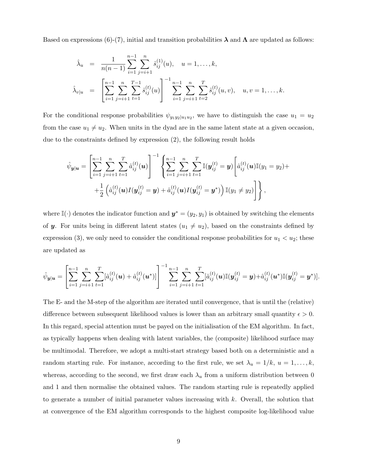Based on expressions (6)-(7), initial and transition probabilities  $\lambda$  and  $\Lambda$  are updated as follows:

$$
\hat{\lambda}_u = \frac{1}{n(n-1)} \sum_{i=1}^{n-1} \sum_{j=i+1}^n \hat{s}_{ij}^{(1)}(u), \quad u = 1, \dots, k,
$$
  

$$
\hat{\lambda}_{v|u} = \left[ \sum_{i=1}^{n-1} \sum_{j=i+1}^n \sum_{t=1}^{T-1} \hat{s}_{ij}^{(t)}(u) \right]^{-1} \sum_{i=1}^{n-1} \sum_{j=i+1}^n \sum_{t=2}^T \hat{s}_{ij}^{(t)}(u, v), \quad u, v = 1, \dots, k.
$$

For the conditional response probabilities  $\psi_{y_1 y_2|u_1 u_2}$ , we have to distinguish the case  $u_1 = u_2$ from the case  $u_1 \neq u_2$ . When units in the dyad are in the same latent state at a given occasion, due to the constraints defined by expression (2), the following result holds

$$
\hat{\psi}_{\mathbf{y}|\mathbf{u}} = \left[ \sum_{i=1}^{n-1} \sum_{j=i+1}^{n} \sum_{t=1}^{T} \hat{a}_{ij}^{(t)}(\mathbf{u}) \right]^{-1} \left\{ \sum_{i=1}^{n-1} \sum_{j=i+1}^{n} \sum_{t=1}^{T} \mathbb{I}(\mathbf{y}_{ij}^{(t)} = \mathbf{y}) \left[ \hat{a}_{ij}^{(t)}(\mathbf{u}) \mathbb{I}(y_1 = y_2) + \frac{1}{2} \left( \hat{a}_{ij}^{(t)}(\mathbf{u}) I(\mathbf{y}_{ij}^{(t)} = \mathbf{y}) + \hat{a}_{ij}^{(t)}(\mathbf{u}) I(\mathbf{y}_{ij}^{(t)} = \mathbf{y}^*) \right) \mathbb{I}(y_1 \neq y_2) \right] \right\},
$$

where I( $\cdot$ ) denotes the indicator function and  $y^* = (y_2, y_1)$  is obtained by switching the elements of y. For units being in different latent states  $(u_1 \neq u_2)$ , based on the constraints defined by expression (3), we only need to consider the conditional response probabilities for  $u_1 < u_2$ ; these are updated as

$$
\hat{\psi}_{\mathbf{y}|\mathbf{u}} = \left[ \sum_{i=1}^{n-1} \sum_{j=i+1}^{n} \sum_{t=1}^{T} [\hat{a}_{ij}^{(t)}(\mathbf{u}) + \hat{a}_{ij}^{(t)}(\mathbf{u}^*)] \right]^{-1} \sum_{i=1}^{n-1} \sum_{j=i+1}^{n} \sum_{t=1}^{T} [\hat{a}_{ij}^{(t)}(\mathbf{u}) \mathbb{I}(\mathbf{y}_{ij}^{(t)} = \mathbf{y}) + \hat{a}_{ij}^{(t)}(\mathbf{u}^*) \mathbb{I}(\mathbf{y}_{ij}^{(t)} = \mathbf{y}^*)].
$$

The E- and the M-step of the algorithm are iterated until convergence, that is until the (relative) difference between subsequent likelihood values is lower than an arbitrary small quantity  $\epsilon > 0$ . In this regard, special attention must be payed on the initialisation of the EM algorithm. In fact, as typically happens when dealing with latent variables, the (composite) likelihood surface may be multimodal. Therefore, we adopt a multi-start strategy based both on a deterministic and a random starting rule. For instance, according to the first rule, we set  $\lambda_u = 1/k$ ,  $u = 1, \ldots, k$ , whereas, according to the second, we first draw each  $\lambda_u$  from a uniform distribution between 0 and 1 and then normalise the obtained values. The random starting rule is repeatedly applied to generate a number of initial parameter values increasing with  $k$ . Overall, the solution that at convergence of the EM algorithm corresponds to the highest composite log-likelihood value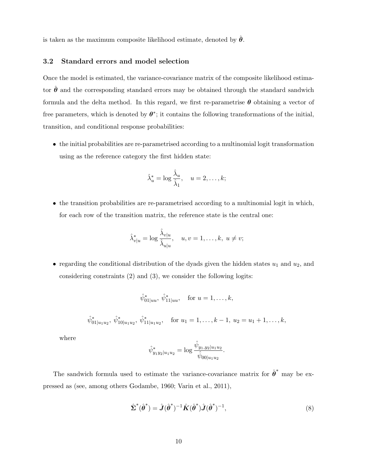is taken as the maximum composite likelihood estimate, denoted by  $\hat{\theta}$ .

#### 3.2 Standard errors and model selection

Once the model is estimated, the variance-covariance matrix of the composite likelihood estimator  $\theta$  and the corresponding standard errors may be obtained through the standard sandwich formula and the delta method. In this regard, we first re-parametrise  $\theta$  obtaining a vector of free parameters, which is denoted by  $\theta^*$ ; it contains the following transformations of the initial, transition, and conditional response probabilities:

• the initial probabilities are re-parametrised according to a multinomial logit transformation using as the reference category the first hidden state:

$$
\hat{\lambda}_u^* = \log \frac{\hat{\lambda}_u}{\hat{\lambda}_1}, \quad u = 2, \dots, k;
$$

• the transition probabilities are re-parametrised according to a multinomial logit in which, for each row of the transition matrix, the reference state is the central one:

$$
\hat{\lambda}_{v|u}^* = \log \frac{\hat{\lambda}_{v|u}}{\hat{\lambda}_{u|u}}, \quad u, v = 1, \dots, k, \ u \neq v;
$$

• regarding the conditional distribution of the dyads given the hidden states  $u_1$  and  $u_2$ , and considering constraints (2) and (3), we consider the following logits:

$$
\hat{\psi}_{01|uu}^*, \ \hat{\psi}_{11|uu}^*, \quad \text{for } u = 1, \dots, k,
$$
  

$$
\hat{\psi}_{01|u_1u_2}^*, \ \hat{\psi}_{10|u_1u_2}^*, \ \hat{\psi}_{11|u_1u_2}^*, \quad \text{for } u_1 = 1, \dots, k-1, \ u_2 = u_1 + 1, \dots, k,
$$

where

$$
\hat{\psi}_{y_1 y_2 | u_1 u_2}^* = \log \frac{\hat{\psi}_{y_1, y_2 | u_1 u_2}}{\hat{\psi}_{00 | u_1 u_2}}.
$$

The sandwich formula used to estimate the variance-covariance matrix for  $\hat{\boldsymbol{\theta}}^*$  may be expressed as (see, among others Godambe, 1960; Varin et al., 2011),

$$
\hat{\boldsymbol{\Sigma}}^*(\hat{\boldsymbol{\theta}}^*) = \hat{\boldsymbol{J}}(\hat{\boldsymbol{\theta}}^*)^{-1}\hat{\boldsymbol{K}}(\hat{\boldsymbol{\theta}}^*)\hat{\boldsymbol{J}}(\hat{\boldsymbol{\theta}}^*)^{-1},
$$
\n(8)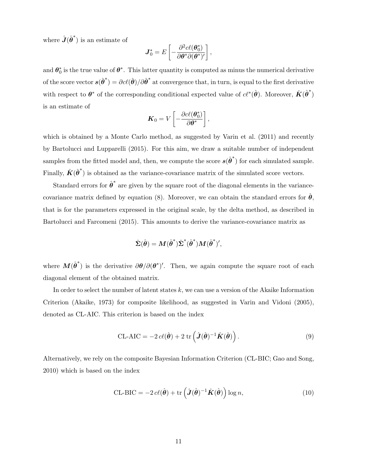where  $\hat{J}(\hat{\theta}^*)$  is an estimate of

$$
\boldsymbol{J}_0^* = E\left[ -\frac{\partial^2 c\ell(\boldsymbol{\theta}_0^*)}{\partial \boldsymbol{\theta}^* \partial(\boldsymbol{\theta}^*)'} \right],
$$

and  $\theta_0^*$  is the true value of  $\theta^*$ . This latter quantity is computed as minus the numerical derivative of the score vector  $s(\hat{\theta}^*) = \partial c\ell(\hat{\theta})/\partial \hat{\theta}^*$  at convergence that, in turn, is equal to the first derivative with respect to  $\theta^*$  of the corresponding conditional expected value of  $c\ell^*(\hat{\theta})$ . Moreover,  $\hat{K}(\hat{\theta}^*)$ is an estimate of

$$
\boldsymbol{K}_0 = V \left[ -\frac{\partial c \ell(\boldsymbol{\theta}_0^*)}{\partial \boldsymbol{\theta}^*} \right],
$$

which is obtained by a Monte Carlo method, as suggested by Varin et al. (2011) and recently by Bartolucci and Lupparelli (2015). For this aim, we draw a suitable number of independent samples from the fitted model and, then, we compute the score  $s(\hat{\theta}^*)$  for each simulated sample. Finally,  $\hat{K}(\hat{\theta}^*)$  is obtained as the variance-covariance matrix of the simulated score vectors.

Standard errors for  $\hat{\theta}^*$  are given by the square root of the diagonal elements in the variancecovariance matrix defined by equation (8). Moreover, we can obtain the standard errors for  $\hat{\theta}$ , that is for the parameters expressed in the original scale, by the delta method, as described in Bartolucci and Farcomeni (2015). This amounts to derive the variance-covariance matrix as

$$
\hat{\boldsymbol{\Sigma}}(\hat{\boldsymbol{\theta}}) = \boldsymbol{M}(\hat{\boldsymbol{\theta}}^*)\hat{\boldsymbol{\Sigma}}^*(\hat{\boldsymbol{\theta}}^*)\boldsymbol{M}(\hat{\boldsymbol{\theta}}^*)',
$$

where  $M(\hat{\theta}^*)$  is the derivative  $\partial \theta / \partial (\theta^*)'$ . Then, we again compute the square root of each diagonal element of the obtained matrix.

In order to select the number of latent states  $k$ , we can use a version of the Akaike Information Criterion (Akaike, 1973) for composite likelihood, as suggested in Varin and Vidoni (2005), denoted as CL-AIC. This criterion is based on the index

$$
CL-AIC = -2 c\ell(\hat{\boldsymbol{\theta}}) + 2 \operatorname{tr} \left( \hat{\boldsymbol{J}}(\hat{\boldsymbol{\theta}})^{-1} \hat{\boldsymbol{K}}(\hat{\boldsymbol{\theta}}) \right).
$$
 (9)

Alternatively, we rely on the composite Bayesian Information Criterion (CL-BIC; Gao and Song, 2010) which is based on the index

$$
CL-BIC = -2 c\ell(\hat{\boldsymbol{\theta}}) + tr\left(\hat{\boldsymbol{J}}(\hat{\boldsymbol{\theta}})^{-1}\hat{\boldsymbol{K}}(\hat{\boldsymbol{\theta}})\right)\log n,
$$
\n(10)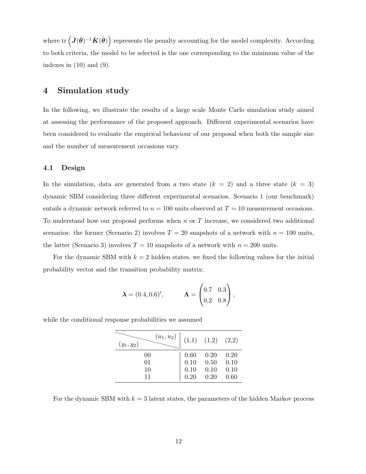where tr  $(\hat{J}(\hat{\theta})^{-1}\hat{K}(\hat{\theta}))$  represents the penalty accounting for the model complexity. According to both criteria, the model to be selected is the one corresponding to the minimum value of the indexes in  $(10)$  and  $(9)$ .

## 4 Simulation study

In the following, we illustrate the results of a large scale Monte Carlo simulation study aimed at assessing the performance of the proposed approach. Different experimental scenarios have been considered to evaluate the empirical behaviour of our proposal when both the sample size and the number of measurement occasions vary.

#### 4.1 Design

In the simulation, data are generated from a two state  $(k = 2)$  and a three state  $(k = 3)$ dynamic SBM considering three different experimental scenarios. Scenario 1 (our benchmark) entails a dynamic network referred to  $n = 100$  units observed at  $T = 10$  measurement occasions. To understand how our proposal performs when  $n$  or  $T$  increase, we considered two additional scenarios: the former (Scenario 2) involves  $T = 20$  snapshots of a network with  $n = 100$  units, the latter (Scenario 3) involves  $T = 10$  snapshots of a network with  $n = 200$  units.

For the dynamic SBM with  $k = 2$  hidden states, we fixed the following values for the initial probability vector and the transition probability matrix:

$$
\boldsymbol{\lambda} = (0.4, 0.6)'
$$
,  $\boldsymbol{\Lambda} = \begin{pmatrix} 0.7 & 0.3 \\ 0.2 & 0.8 \end{pmatrix}$ ,

| $(u_1, u_2)$<br>$(y_1, y_2)$ |      | $(1,1)$ $(1,2)$ $(2,2)$ |      |
|------------------------------|------|-------------------------|------|
| 00                           | 0.60 | 0.20                    | 0.20 |
| 01                           | 0.10 | 0.50                    | 0.10 |
| 10                           | 0.10 | 0.10                    | 0.10 |
| 11                           | 0.20 | 0.20                    | 0.60 |

while the conditional response probabilities we assumed

For the dynamic SBM with  $k = 3$  latent states, the parameters of the hidden Markov process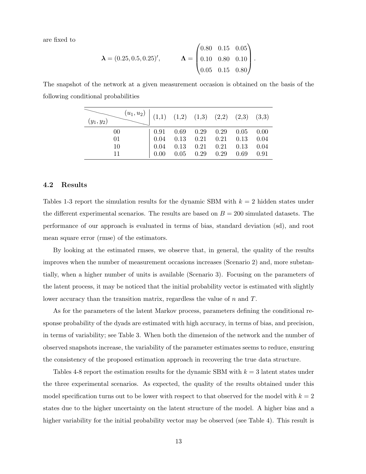are fixed to

$$
\boldsymbol{\lambda} = (0.25, 0.5, 0.25)', \qquad \boldsymbol{\Lambda} = \begin{pmatrix} 0.80 & 0.15 & 0.05 \\ 0.10 & 0.80 & 0.10 \\ 0.05 & 0.15 & 0.80 \end{pmatrix}.
$$

The snapshot of the network at a given measurement occasion is obtained on the basis of the following conditional probabilities

| $\begin{pmatrix} (u_1, u_2) & (1,1) & (1,2) & (1,3) & (2,2) & (2,3) & (3,3) \end{pmatrix}$<br>$(y_1, y_2)$ |                                                                                    |                      |             |  |
|------------------------------------------------------------------------------------------------------------|------------------------------------------------------------------------------------|----------------------|-------------|--|
| 00                                                                                                         | $\begin{array}{cccc} \n\vert 0.91 & 0.69 & 0.29 & 0.29 & 0.05 & 0.00\n\end{array}$ |                      |             |  |
| 01                                                                                                         | $\begin{array}{cccccc} \n0.04 & 0.13 & 0.21 & 0.21 & 0.13 & 0.04\n\end{array}$     |                      |             |  |
| 10                                                                                                         | $\begin{array}{cccccc} 0.04 & 0.13 & 0.21 & 0.21 & 0.13 & 0.04 \end{array}$        |                      |             |  |
| 11                                                                                                         | 0.00                                                                               | $0.05$ $0.29$ $0.29$ | $0.69$ 0.91 |  |

#### 4.2 Results

Tables 1-3 report the simulation results for the dynamic SBM with  $k = 2$  hidden states under the different experimental scenarios. The results are based on  $B = 200$  simulated datasets. The performance of our approach is evaluated in terms of bias, standard deviation (sd), and root mean square error (rmse) of the estimators.

By looking at the estimated rmses, we observe that, in general, the quality of the results improves when the number of measurement occasions increases (Scenario 2) and, more substantially, when a higher number of units is available (Scenario 3). Focusing on the parameters of the latent process, it may be noticed that the initial probability vector is estimated with slightly lower accuracy than the transition matrix, regardless the value of n and T.

As for the parameters of the latent Markov process, parameters defining the conditional response probability of the dyads are estimated with high accuracy, in terms of bias, and precision, in terms of variability; see Table 3. When both the dimension of the network and the number of observed snapshots increase, the variability of the parameter estimates seems to reduce, ensuring the consistency of the proposed estimation approach in recovering the true data structure.

Tables 4-8 report the estimation results for the dynamic SBM with  $k = 3$  latent states under the three experimental scenarios. As expected, the quality of the results obtained under this model specification turns out to be lower with respect to that observed for the model with  $k = 2$ states due to the higher uncertainty on the latent structure of the model. A higher bias and a higher variability for the initial probability vector may be observed (see Table 4). This result is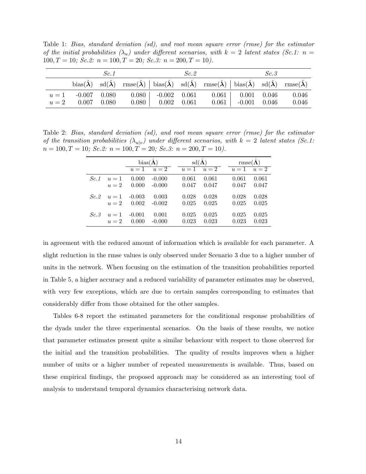Table 1: Bias, standard deviation (sd), and root mean square error (rmse) for the estimator of the initial probabilities  $(\lambda_u)$  under different scenarios, with  $k = 2$  latent states (Sc.1:  $n =$  $100, T = 10$ ; Sc. 2:  $n = 100, T = 20$ ; Sc. 3:  $n = 200, T = 10$ .

| Sc. 1                                       |  |                                                                                                                                                                                                                   | Sc.2 |                          |  | Sc.3 |       |
|---------------------------------------------|--|-------------------------------------------------------------------------------------------------------------------------------------------------------------------------------------------------------------------|------|--------------------------|--|------|-------|
|                                             |  | bias( $\hat{\lambda}$ ) sd( $\hat{\lambda}$ ) rmse( $\hat{\lambda}$ ) bias( $\hat{\lambda}$ ) sd( $\hat{\lambda}$ ) rmse( $\hat{\lambda}$ ) bias( $\hat{\lambda}$ ) sd( $\hat{\lambda}$ ) rmse( $\hat{\lambda}$ ) |      |                          |  |      |       |
| $u = 1$ -0.007 0.080<br>$u = 2$ 0.007 0.080 |  | $0.080$   $-0.002$ $0.061$ $0.061$   $0.001$ $0.046$ $0.046$<br>$0.080$   $0.002$ 0.061                                                                                                                           |      | $0.061$ $-0.001$ $0.046$ |  |      | 0.046 |

Table 2: Bias, standard deviation (sd), and root mean square error (rmse) for the estimator of the transition probabilities  $(\lambda_{u|v})$  under different scenarios, with  $k = 2$  latent states (Sc.1:  $n = 100, T = 10$ ; Sc. 2:  $n = 100, T = 20$ ; Sc. 3:  $n = 200, T = 10$ ).

|      |       | bias $(\hat{\Lambda})$ |             | $sd(\hat{\Lambda})$ |             |       | $\mathrm{rmse}(\hat{\mathbf{\Lambda}})$ |  |  |
|------|-------|------------------------|-------------|---------------------|-------------|-------|-----------------------------------------|--|--|
|      |       |                        | $u=1$ $u=2$ |                     | $u=1$ $u=2$ |       | $u=1$ $u=2$                             |  |  |
| Sc.1 | $u=1$ | 0.000                  | $-0.000$    | 0.061               | 0.061       | 0.061 | 0.061                                   |  |  |
|      | $u=2$ | 0.000                  | $-0.000$    | 0.047               | 0.047       | 0.047 | 0.047                                   |  |  |
| Sc.2 | $u=1$ | $-0.003$               | 0.003       | 0.028               | 0.028       | 0.028 | 0.028                                   |  |  |
|      | $u=2$ | 0.002                  | $-0.002$    | 0.025               | 0.025       | 0.025 | 0.025                                   |  |  |
| Sc.3 | $u=1$ | $-0.001$               | 0.001       | 0.025               | 0.025       | 0.025 | 0.025                                   |  |  |
|      | $u=2$ | 0.000                  | $-0.000$    | 0.023               | 0.023       | 0.023 | 0.023                                   |  |  |

in agreement with the reduced amount of information which is available for each parameter. A slight reduction in the rmse values is only observed under Scenario 3 due to a higher number of units in the network. When focusing on the estimation of the transition probabilities reported in Table 5, a higher accuracy and a reduced variability of parameter estimates may be observed, with very few exceptions, which are due to certain samples corresponding to estimates that considerably differ from those obtained for the other samples.

Tables 6-8 report the estimated parameters for the conditional response probabilities of the dyads under the three experimental scenarios. On the basis of these results, we notice that parameter estimates present quite a similar behaviour with respect to those observed for the initial and the transition probabilities. The quality of results improves when a higher number of units or a higher number of repeated measurements is available. Thus, based on these empirical findings, the proposed approach may be considered as an interesting tool of analysis to understand temporal dynamics characterising network data.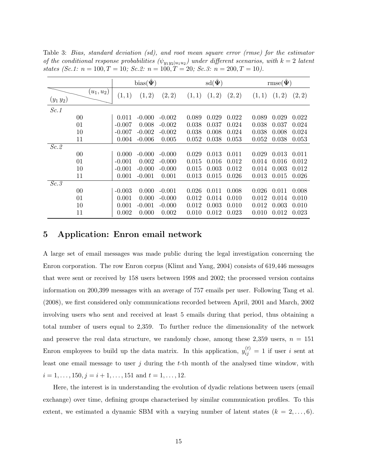|                   |              |          | $bias(\tilde{\Psi})$ |          |        | $\text{sd}(\hat{\Psi})$ |        |       | $\text{rmse}(\hat{\Psi})$ |        |
|-------------------|--------------|----------|----------------------|----------|--------|-------------------------|--------|-------|---------------------------|--------|
| $(y_1 y_2)$       | $(u_1, u_2)$ | (1, 1)   | (1, 2)               | (2, 2)   | (1, 1) | (1,2)                   | (2, 2) | (1,1) | (1, 2)                    | (2, 2) |
| Sc.1              |              |          |                      |          |        |                         |        |       |                           |        |
|                   | 00           | 0.011    | $-0.000$             | $-0.002$ | 0.089  | 0.029                   | 0.022  | 0.089 | 0.029                     | 0.022  |
|                   | 01           | $-0.007$ | 0.008                | $-0.002$ | 0.038  | 0.037                   | 0.024  | 0.038 | 0.037                     | 0.024  |
|                   | 10           | $-0.007$ | $-0.002$             | $-0.002$ | 0.038  | 0.008                   | 0.024  | 0.038 | 0.008                     | 0.024  |
|                   | 11           | 0.004    | $-0.006$             | 0.005    | 0.052  | 0.038                   | 0.053  | 0.052 | 0.038                     | 0.053  |
| Sc.2              |              |          |                      |          |        |                         |        |       |                           |        |
|                   | 00           | 0.000    | $-0.000$             | $-0.000$ | 0.029  | 0.013                   | 0.011  | 0.029 | 0.013                     | 0.011  |
|                   | 01           | $-0.001$ | 0.002                | $-0.000$ | 0.015  | 0.016                   | 0.012  | 0.014 | 0.016                     | 0.012  |
|                   | 10           | $-0.001$ | $-0.000$             | $-0.000$ | 0.015  | 0.003                   | 0.012  | 0.014 | 0.003                     | 0.012  |
|                   | 11           | 0.001    | $-0.001$             | 0.001    | 0.013  | 0.015                   | 0.026  | 0.013 | 0.015                     | 0.026  |
| $\overline{Sc.3}$ |              |          |                      |          |        |                         |        |       |                           |        |
|                   | $00\,$       | $-0.003$ | 0.000                | $-0.001$ | 0.026  | 0.011                   | 0.008  | 0.026 | 0.011                     | 0.008  |
|                   | 01           | 0.001    | 0.000                | $-0.000$ | 0.012  | 0.014                   | 0.010  | 0.012 | 0.014                     | 0.010  |
|                   | 10           | 0.001    | $-0.001$             | $-0.000$ | 0.012  | 0.003                   | 0.010  | 0.012 | 0.003                     | 0.010  |
|                   | 11           | 0.002    | 0.000                | 0.002    | 0.010  | 0.012                   | 0.023  | 0.010 | 0.012                     | 0.023  |

Table 3: Bias, standard deviation (sd), and root mean square error (rmse) for the estimator of the conditional response probabilities  $(\psi_{y_1y_2|u_1u_2})$  under different scenarios, with  $k=2$  latent states (Sc.1:  $n = 100, T = 10$ ; Sc.2:  $n = 100, T = 20$ ; Sc.3:  $n = 200, T = 10$ ).

## 5 Application: Enron email network

A large set of email messages was made public during the legal investigation concerning the Enron corporation. The row Enron corpus (Klimt and Yang, 2004) consists of 619,446 messages that were sent or received by 158 users between 1998 and 2002; the processed version contains information on 200,399 messages with an average of 757 emails per user. Following Tang et al. (2008), we first considered only communications recorded between April, 2001 and March, 2002 involving users who sent and received at least 5 emails during that period, thus obtaining a total number of users equal to 2,359. To further reduce the dimensionality of the network and preserve the real data structure, we randomly chose, among these  $2,359$  users,  $n = 151$ Enron employees to build up the data matrix. In this application,  $y_{ij}^{(t)} = 1$  if user i sent at least one email message to user  $j$  during the  $t$ -th month of the analysed time window, with  $i = 1, \ldots, 150, j = i + 1, \ldots, 151$  and  $t = 1, \ldots, 12$ .

Here, the interest is in understanding the evolution of dyadic relations between users (email exchange) over time, defining groups characterised by similar communication profiles. To this extent, we estimated a dynamic SBM with a varying number of latent states  $(k = 2, \ldots, 6)$ .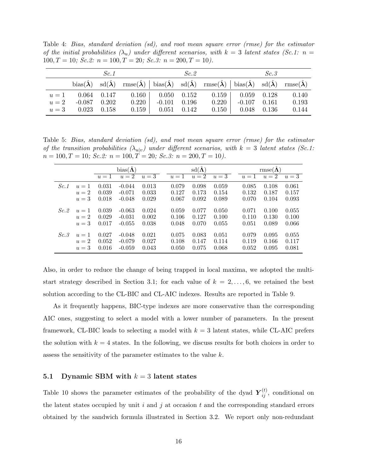Table 4: Bias, standard deviation (sd), and root mean square error (rmse) for the estimator of the initial probabilities  $(\lambda_u)$  under different scenarios, with  $k = 3$  latent states (Sc.1: n =  $100, T = 10$ ; Sc. 2:  $n = 100, T = 20$ ; Sc. 3:  $n = 200, T = 10$ .

| Sc.1                 |  |                                                                                                                                                                                                                                                                                                                                                     | Sc.2           |  |                                                     | Sc.3           |  |       |
|----------------------|--|-----------------------------------------------------------------------------------------------------------------------------------------------------------------------------------------------------------------------------------------------------------------------------------------------------------------------------------------------------|----------------|--|-----------------------------------------------------|----------------|--|-------|
|                      |  | $\text{bias}(\hat{\boldsymbol{\lambda}})$ sd $(\hat{\boldsymbol{\lambda}})$ rmse $(\hat{\boldsymbol{\lambda}})$   $\text{bias}(\hat{\boldsymbol{\lambda}})$ sd $(\hat{\boldsymbol{\lambda}})$ rmse $(\hat{\boldsymbol{\lambda}})$   $\text{bias}(\hat{\boldsymbol{\lambda}})$ sd $(\hat{\boldsymbol{\lambda}})$ rmse $(\hat{\boldsymbol{\lambda}})$ |                |  |                                                     |                |  |       |
|                      |  | $u = 1$ 0.064 0.147 0.160 0.050 0.152 0.159 0.059 0.128 0.140                                                                                                                                                                                                                                                                                       |                |  |                                                     |                |  |       |
| $u = 2$ -0.087 0.202 |  | 0.220                                                                                                                                                                                                                                                                                                                                               | $-0.101$ 0.196 |  | 0.220                                               | $-0.107$ 0.161 |  | 0.193 |
| $u = 3$ 0.023 0.158  |  |                                                                                                                                                                                                                                                                                                                                                     |                |  | $0.159$   $0.051$ $0.142$ $0.150$   $0.048$ $0.136$ |                |  | 0.144 |

Table 5: Bias, standard deviation (sd), and root mean square error (rmse) for the estimator of the transition probabilities  $(\lambda_{u|v})$  under different scenarios, with  $k = 3$  latent states (Sc.1:  $n = 100, T = 10;$   $Sc.2: n = 100, T = 20;$   $Sc.3: n = 200, T = 10)$ .

|      |       | $bias(\Lambda)$ |          |       |       | $sd(\hat{\Lambda})$ |       |       | $\mathrm{rmse}(\mathbf{\Lambda})$ |       |  |
|------|-------|-----------------|----------|-------|-------|---------------------|-------|-------|-----------------------------------|-------|--|
|      |       | $u=1$           | $u=2$    | $u=3$ | $u=1$ | $u=2$               | $u=3$ | $u=1$ | $u=2$                             | $u=3$ |  |
| Sc.1 | $u=1$ | 0.031           | $-0.044$ | 0.013 | 0.079 | 0.098               | 0.059 | 0.085 | 0.108                             | 0.061 |  |
|      | $u=2$ | 0.039           | $-0.071$ | 0.033 | 0.127 | 0.173               | 0.154 | 0.132 | 0.187                             | 0.157 |  |
|      | $u=3$ | 0.018           | $-0.048$ | 0.029 | 0.067 | 0.092               | 0.089 | 0.070 | 0.104                             | 0.093 |  |
|      |       |                 |          |       |       |                     |       |       |                                   |       |  |
| Sc.2 | $u=1$ | 0.039           | $-0.063$ | 0.024 | 0.059 | 0.077               | 0.050 | 0.071 | 0.100                             | 0.055 |  |
|      | $u=2$ | 0.029           | $-0.031$ | 0.002 | 0.106 | 0.127               | 0.100 | 0.110 | 0.130                             | 0.100 |  |
|      | $u=3$ | 0.017           | $-0.055$ | 0.038 | 0.048 | 0.070               | 0.055 | 0.051 | 0.089                             | 0.066 |  |
| Sc.3 | $u=1$ | 0.027           | $-0.048$ | 0.021 | 0.075 | 0.083               | 0.051 | 0.079 | 0.095                             | 0.055 |  |
|      |       |                 |          |       |       |                     |       |       |                                   |       |  |
|      | $u=2$ | 0.052           | $-0.079$ | 0.027 | 0.108 | 0.147               | 0.114 | 0.119 | 0.166                             | 0.117 |  |
|      | $u=3$ | 0.016           | $-0.059$ | 0.043 | 0.050 | 0.075               | 0.068 | 0.052 | 0.095                             | 0.081 |  |

Also, in order to reduce the change of being trapped in local maxima, we adopted the multistart strategy described in Section 3.1; for each value of  $k = 2, \ldots, 6$ , we retained the best solution according to the CL-BIC and CL-AIC indexes. Results are reported in Table 9.

As it frequently happens, BIC-type indexes are more conservative than the corresponding AIC ones, suggesting to select a model with a lower number of parameters. In the present framework, CL-BIC leads to selecting a model with  $k = 3$  latent states, while CL-AIC prefers the solution with  $k = 4$  states. In the following, we discuss results for both choices in order to assess the sensitivity of the parameter estimates to the value k.

#### 5.1 Dynamic SBM with  $k = 3$  latent states

Table 10 shows the parameter estimates of the probability of the dyad  $\boldsymbol{Y}_{ij}^{(t)}$ , conditional on the latent states occupied by unit i and j at occasion t and the corresponding standard errors obtained by the sandwich formula illustrated in Section 3.2. We report only non-redundant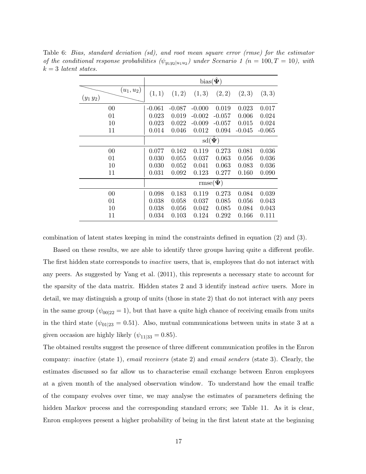|                             | bias( $\hat{\Psi}$ )    |          |                             |          |          |          |  |  |
|-----------------------------|-------------------------|----------|-----------------------------|----------|----------|----------|--|--|
| $(u_1, u_2)$<br>$(y_1 y_2)$ | (1, 1)                  | (1, 2)   | (1,3)                       | (2, 2)   | (2,3)    | (3,3)    |  |  |
| 00                          | $-0.061$                | $-0.087$ | $-0.000$                    | 0.019    | 0.023    | 0.017    |  |  |
| 01                          | 0.023                   | 0.019    | $-0.002$                    | $-0.057$ | 0.006    | 0.024    |  |  |
| 10                          | 0.023                   | 0.022    | $-0.009$                    | $-0.057$ | 0.015    | 0.024    |  |  |
| 11                          | 0.014                   | 0.046    | 0.012                       | 0.094    | $-0.045$ | $-0.065$ |  |  |
|                             | $\text{sd}(\hat{\Psi})$ |          |                             |          |          |          |  |  |
| 00                          | 0.077                   | 0.162    | 0.119                       | 0.273    | 0.081    | 0.036    |  |  |
| 01                          | 0.030                   | 0.055    | 0.037                       | 0.063    | 0.056    | 0.036    |  |  |
| 10                          | 0.030                   | 0.052    | 0.041                       | 0.063    | 0.083    | 0.036    |  |  |
| 11                          | 0.031                   | 0.092    | 0.123                       | 0.277    | 0.160    | 0.090    |  |  |
|                             |                         |          | $\mathrm{rmse}(\hat{\Psi})$ |          |          |          |  |  |
| 00                          | 0.098                   | 0.183    | 0.119                       | 0.273    | 0.084    | 0.039    |  |  |
| 01                          | 0.038                   | 0.058    | 0.037                       | 0.085    | 0.056    | 0.043    |  |  |
| 10                          | 0.038                   | 0.056    | 0.042                       | 0.085    | 0.084    | 0.043    |  |  |
| 11                          | 0.034                   | 0.103    | 0.124                       | 0.292    | 0.166    | 0.111    |  |  |

Table 6: Bias, standard deviation (sd), and root mean square error (rmse) for the estimator of the conditional response probabilities  $(\psi_{y_1 y_2 | u_1 u_2})$  under Scenario 1 (n = 100, T = 10), with  $k = 3$  latent states.

combination of latent states keeping in mind the constraints defined in equation (2) and (3).

Based on these results, we are able to identify three groups having quite a different profile. The first hidden state corresponds to *inactive* users, that is, employees that do not interact with any peers. As suggested by Yang et al. (2011), this represents a necessary state to account for the sparsity of the data matrix. Hidden states 2 and 3 identify instead active users. More in detail, we may distinguish a group of units (those in state 2) that do not interact with any peers in the same group ( $\psi_{00|22} = 1$ ), but that have a quite high chance of receiving emails from units in the third state ( $\psi_{01|23} = 0.51$ ). Also, mutual communications between units in state 3 at a given occasion are highly likely  $(\psi_{11|33} = 0.85)$ .

The obtained results suggest the presence of three different communication profiles in the Enron company: inactive (state 1), email receivers (state 2) and email senders (state 3). Clearly, the estimates discussed so far allow us to characterise email exchange between Enron employees at a given month of the analysed observation window. To understand how the email traffic of the company evolves over time, we may analyse the estimates of parameters defining the hidden Markov process and the corresponding standard errors; see Table 11. As it is clear, Enron employees present a higher probability of being in the first latent state at the beginning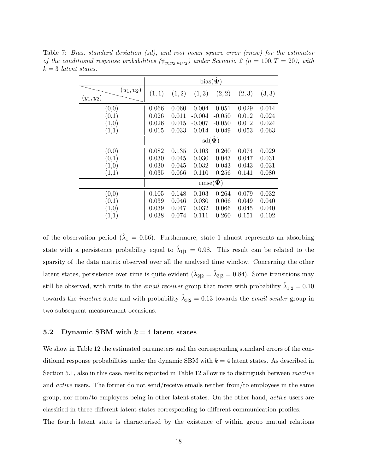|                              | bias( $\hat{\Psi}$ )    |          |          |                           |          |          |  |  |
|------------------------------|-------------------------|----------|----------|---------------------------|----------|----------|--|--|
| $(u_1, u_2)$<br>$(y_1, y_2)$ | (1, 1)                  | (1, 2)   | (1,3)    | (2, 2)                    | (2,3)    | (3,3)    |  |  |
| (0,0)                        | $-0.066$                | $-0.060$ | $-0.004$ | 0.051                     | 0.029    | 0.014    |  |  |
| (0,1)                        | 0.026                   | 0.011    | $-0.004$ | $-0.050$                  | 0.012    | 0.024    |  |  |
| (1,0)                        | 0.026                   | 0.015    | $-0.007$ | $-0.050$                  | 0.012    | 0.024    |  |  |
| (1,1)                        | 0.015                   | 0.033    | 0.014    | 0.049                     | $-0.053$ | $-0.063$ |  |  |
|                              | $\text{sd}(\hat{\Psi})$ |          |          |                           |          |          |  |  |
| (0,0)                        | 0.082                   | 0.135    | 0.103    | 0.260                     | 0.074    | 0.029    |  |  |
| (0,1)                        | 0.030                   | 0.045    | 0.030    | 0.043                     | 0.047    | 0.031    |  |  |
| (1,0)                        | 0.030                   | 0.045    | 0.032    | 0.043                     | 0.043    | 0.031    |  |  |
| (1,1)                        | 0.035                   | 0.066    | 0.110    | 0.256                     | 0.141    | 0.080    |  |  |
|                              |                         |          |          | $\text{rmse}(\hat{\Psi})$ |          |          |  |  |
| (0,0)                        | 0.105                   | 0.148    | 0.103    | 0.264                     | 0.079    | 0.032    |  |  |
| (0,1)                        | 0.039                   | 0.046    | 0.030    | 0.066                     | 0.049    | 0.040    |  |  |
| (1,0)                        | 0.039                   | 0.047    | 0.032    | 0.066                     | 0.045    | 0.040    |  |  |
| (1,1)                        | 0.038                   | 0.074    | 0.111    | 0.260                     | 0.151    | 0.102    |  |  |

Table 7: Bias, standard deviation (sd), and root mean square error (rmse) for the estimator of the conditional response probabilities  $(\psi_{y_1 y_2 | u_1 u_2})$  under Scenario 2 (n = 100, T = 20), with  $k = 3$  latent states.

of the observation period ( $\hat{\lambda}_1 = 0.66$ ). Furthermore, state 1 almost represents an absorbing state with a persistence probability equal to  $\hat{\lambda}_{1|1} = 0.98$ . This result can be related to the sparsity of the data matrix observed over all the analysed time window. Concerning the other latent states, persistence over time is quite evident  $(\hat{\lambda}_{2|2} = \hat{\lambda}_{3|3} = 0.84)$ . Some transitions may still be observed, with units in the *email receiver* group that move with probability  $\hat{\lambda}_{1|2} = 0.10$ towards the *inactive* state and with probability  $\hat{\lambda}_{3|2} = 0.13$  towards the *email sender* group in two subsequent measurement occasions.

#### 5.2 Dynamic SBM with  $k = 4$  latent states

We show in Table 12 the estimated parameters and the corresponding standard errors of the conditional response probabilities under the dynamic SBM with  $k = 4$  latent states. As described in Section 5.1, also in this case, results reported in Table 12 allow us to distinguish between inactive and active users. The former do not send/receive emails neither from/to employees in the same group, nor from/to employees being in other latent states. On the other hand, active users are classified in three different latent states corresponding to different communication profiles.

The fourth latent state is characterised by the existence of within group mutual relations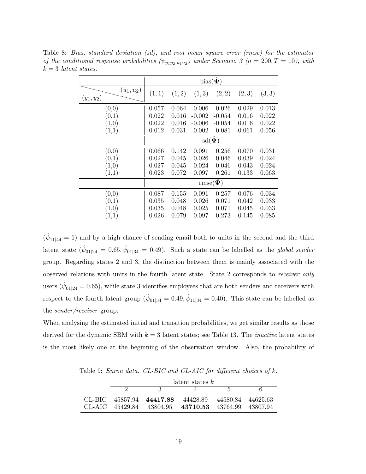|                              | bias( $\hat{\Psi}$ )    |          |                             |          |          |          |  |  |
|------------------------------|-------------------------|----------|-----------------------------|----------|----------|----------|--|--|
| $(u_1, u_2)$<br>$(y_1, y_2)$ | (1,1)                   | (1, 2)   | (1,3)                       | (2, 2)   | (2,3)    | (3,3)    |  |  |
| (0,0)                        | $-0.057$                | $-0.064$ | 0.006                       | 0.026    | 0.029    | 0.013    |  |  |
| $\left( 0,1\right)$          | 0.022                   | 0.016    | $-0.002$                    | $-0.054$ | 0.016    | 0.022    |  |  |
| (1,0)                        | 0.022                   | 0.016    | $-0.006$                    | $-0.054$ | 0.016    | 0.022    |  |  |
| (1,1)                        | 0.012                   | 0.031    | 0.002                       | 0.081    | $-0.061$ | $-0.056$ |  |  |
|                              | $\text{sd}(\hat{\Psi})$ |          |                             |          |          |          |  |  |
| (0,0)                        | 0.066                   | 0.142    | 0.091                       | 0.256    | 0.070    | 0.031    |  |  |
| (0,1)                        | 0.027                   | 0.045    | 0.026                       | 0.046    | 0.039    | 0.024    |  |  |
| (1,0)                        | 0.027                   | 0.045    | 0.024                       | 0.046    | 0.043    | 0.024    |  |  |
| (1,1)                        | 0.023                   | 0.072    | 0.097                       | 0.261    | 0.133    | 0.063    |  |  |
|                              |                         |          | $\mathrm{rmse}(\hat{\Psi})$ |          |          |          |  |  |
| (0, 0)                       | 0.087                   | 0.155    | 0.091                       | 0.257    | 0.076    | 0.034    |  |  |
| (0,1)                        | 0.035                   | 0.048    | 0.026                       | 0.071    | 0.042    | 0.033    |  |  |
| (1,0)                        | 0.035                   | 0.048    | 0.025                       | 0.071    | 0.045    | 0.033    |  |  |
| (1,1)                        | 0.026                   | 0.079    | 0.097                       | 0.273    | 0.145    | 0.085    |  |  |

Table 8: Bias, standard deviation (sd), and root mean square error (rmse) for the estimator of the conditional response probabilities  $(\psi_{y_1 y_2 | u_1 u_2})$  under Scenario 3 (n = 200, T = 10), with  $k = 3$  latent states.

 $(\hat{\psi}_{11|44} = 1)$  and by a high chance of sending email both to units in the second and the third latent state  $(\hat{\psi}_{01|24} = 0.65, \hat{\psi}_{01|34} = 0.49)$ . Such a state can be labelled as the *global sender* group. Regarding states 2 and 3, the distinction between them is mainly associated with the observed relations with units in the fourth latent state. State 2 corresponds to *receiver only* users ( $\hat{\psi}_{01|24} = 0.65$ ), while state 3 identifies employees that are both senders and receivers with respect to the fourth latent group  $(\hat{\psi}_{01|34} = 0.49, \hat{\psi}_{11|34} = 0.40)$ . This state can be labelled as the sender/receiver group.

When analysing the estimated initial and transition probabilities, we get similar results as those derived for the dynamic SBM with  $k = 3$  latent states; see Table 13. The *inactive* latent states is the most likely one at the beginning of the observation window. Also, the probability of

|  | $\lambda$ latent states $k$ |                                                       |              |  |  |  |  |  |  |  |
|--|-----------------------------|-------------------------------------------------------|--------------|--|--|--|--|--|--|--|
|  |                             |                                                       | $\mathsf{h}$ |  |  |  |  |  |  |  |
|  |                             | CL-BIC 45857.94 44417.88 44428.89 44580.84 44625.63   |              |  |  |  |  |  |  |  |
|  |                             | $CL-AIC$ 45429.84 43804.95 43710.53 43764.99 43807.94 |              |  |  |  |  |  |  |  |

Table 9: Enron data. CL-BIC and CL-AIC for different choices of k.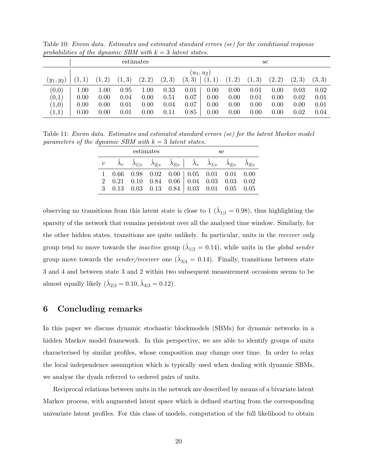| .,<br>estimates                  |                              |                              |                              |                              |                              |                              |                              | se                           |                              |                              |                              |                              |  |
|----------------------------------|------------------------------|------------------------------|------------------------------|------------------------------|------------------------------|------------------------------|------------------------------|------------------------------|------------------------------|------------------------------|------------------------------|------------------------------|--|
| $(y_1,y_2)$                      | (1,1)                        | (1,2)                        | (1, 3)                       | (2,2)                        | (2,3)                        | $(u_1, u_2)$<br>(3,3)        | (1,1)                        | (1, 2)                       | (1, 3)                       | (2, 2)                       | (2,3)                        | (3, 3)                       |  |
| (0,0)<br>(0,1)<br>(1,0)<br>(1,1) | 1.00<br>0.00<br>0.00<br>0.00 | 1.00<br>0.00<br>0.00<br>0.00 | 0.95<br>0.04<br>0.01<br>0.01 | 1.00<br>0.00<br>0.00<br>0.00 | 0.33<br>0.51<br>0.04<br>0.11 | 0.01<br>0.07<br>0.07<br>0.85 | 0.00<br>0.00<br>0.00<br>0.00 | 0.00<br>0.00<br>0.00<br>0.00 | 0.01<br>0.01<br>0.00<br>0.00 | 0.00<br>0.00<br>0.00<br>0.00 | 0.03<br>0.02<br>0.00<br>0.02 | 0.02<br>0.01<br>0.01<br>0.04 |  |

Table 10: Enron data. Estimates and estimated standard errors (se) for the conditional response probabilities of the dynamic SBM with  $k = 3$  latent states.

Table 11: Enron data. Estimates and estimated standard errors (se) for the latent Markov model parameters of the dynamic SBM with  $k = 3$  latent states.

|  | estimates |  | se                                                                                                                                                                                                                  |  |  |  |  |
|--|-----------|--|---------------------------------------------------------------------------------------------------------------------------------------------------------------------------------------------------------------------|--|--|--|--|
|  |           |  | $v \quad \hat{\lambda}_v \quad \hat{\lambda}_{1 v} \quad \hat{\lambda}_{2 v} \quad \hat{\lambda}_{3 v} \quad   \quad \hat{\lambda}_v \quad \hat{\lambda}_{1 v} \quad \hat{\lambda}_{2 v} \quad \hat{\lambda}_{3 v}$ |  |  |  |  |
|  |           |  | $1\quad 0.66 \quad 0.98 \quad 0.02 \quad 0.00 \mid 0.05 \quad 0.01 \quad 0.01 \quad 0.00$                                                                                                                           |  |  |  |  |
|  |           |  | 2 0.21 0.10 0.84 0.06 0.04 0.03 0.03 0.02                                                                                                                                                                           |  |  |  |  |
|  |           |  | 3 0.13 0.03 0.13 0.84 0.03 0.01 0.05 0.05                                                                                                                                                                           |  |  |  |  |

observing no transitions from this latent state is close to 1 ( $\hat{\lambda}_{1|1} = 0.98$ ), thus highlighting the sparsity of the network that remains persistent over all the analysed time window. Similarly, for the other hidden states, transitions are quite unlikely. In particular, units in the receiver only group tend to move towards the *inactive* group  $(\hat{\lambda}_{1|2} = 0.14)$ , while units in the *global sender* group move towards the *sender/receiver* one  $(\hat{\lambda}_{3|4} = 0.14)$ . Finally, transitions between state 3 and 4 and between state 3 and 2 within two subsequent measurement occasions seems to be almost equally likely  $(\hat{\lambda}_{2|3} = 0.10, \hat{\lambda}_{4|3} = 0.12)$ .

## 6 Concluding remarks

In this paper we discuss dynamic stochastic blockmodels (SBMs) for dynamic networks in a hidden Markov model framework. In this perspective, we are able to identify groups of units characterised by similar profiles, whose composition may change over time. In order to relax the local independence assumption which is typically used when dealing with dynamic SBMs, we analyse the dyads referred to ordered pairs of units.

Reciprocal relations between units in the network are described by means of a bivariate latent Markov process, with augmented latent space which is defined starting from the corresponding univariate latent profiles. For this class of models, computation of the full likelihood to obtain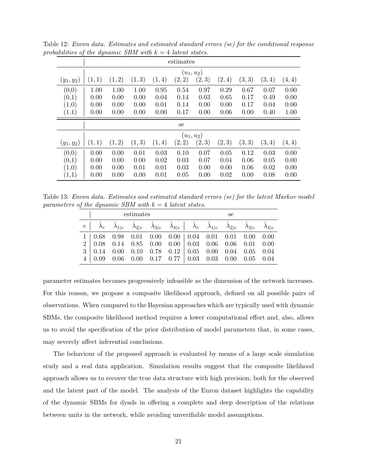| ◡                     |           |              |        |        |              |       |        |        |       |       |  |  |  |
|-----------------------|-----------|--------------|--------|--------|--------------|-------|--------|--------|-------|-------|--|--|--|
|                       | estimates |              |        |        |              |       |        |        |       |       |  |  |  |
|                       |           | $(u_1, u_2)$ |        |        |              |       |        |        |       |       |  |  |  |
| $(y_1,y_2)$           | (1,1)     | (1, 2)       | (1, 3) | (1, 4) | (2,2)        | (2,3) | (2,4)  | (3, 3) | (3,4) | (4,4) |  |  |  |
| (0,0)                 | 1.00      | 1.00         | 1.00   | 0.95   | 0.54         | 0.97  | 0.29   | 0.67   | 0.07  | 0.00  |  |  |  |
| (0,1)                 | 0.00      | 0.00         | 0.00   | 0.04   | 0.14         | 0.03  | 0.65   | 0.17   | 0.49  | 0.00  |  |  |  |
| (1,0)                 | 0.00      | 0.00         | 0.00   | 0.01   | 0.14         | 0.00  | 0.00   | 0.17   | 0.04  | 0.00  |  |  |  |
| (1,1)                 | 0.00      | 0.00         | 0.00   | 0.00   | 0.17         | 0.00  | 0.06   | 0.00   | 0.40  | 1.00  |  |  |  |
|                       |           |              |        |        |              |       |        |        |       |       |  |  |  |
|                       |           |              |        |        | se           |       |        |        |       |       |  |  |  |
|                       |           |              |        |        | $(u_1, u_2)$ |       |        |        |       |       |  |  |  |
| $(y_1,y_2)$           | (1,1)     | (1,2)        | (1, 3) | (1,4)  | (2,2)        | (2,3) | (2, 3) | (3, 3) | (3,4) | (4,4) |  |  |  |
| (0,0)                 | 0.00      | 0.00         | 0.01   | 0.03   | 0.10         | 0.07  | 0.05   | 0.12   | 0.03  | 0.00  |  |  |  |
| (0,1)                 | 0.00      | 0.00         | 0.00   | 0.02   | 0.03         | 0.07  | 0.04   | 0.06   | 0.05  | 0.00  |  |  |  |
| (1,0)                 | 0.00      | 0.00         | 0.01   | 0.01   | 0.03         | 0.00  | 0.00   | 0.06   | 0.02  | 0.00  |  |  |  |
| $\scriptstyle{(1,1)}$ | 0.00      | 0.00         | 0.00   | 0.01   | 0.05         | 0.00  | 0.02   | 0.00   | 0.08  | 0.00  |  |  |  |

Table 12: Enron data. Estimates and estimated standard errors (se) for the conditional response probabilities of the dynamic SBM with  $k = 4$  latent states.

Table 13: Enron data. Estimates and estimated standard errors (se) for the latent Markov model parameters of the dynamic SBM with  $k = 4$  latent states.

|                                                                                                                                                                                                                                                                                                                                  | estimates |  | se |  |  |  |  |  |
|----------------------------------------------------------------------------------------------------------------------------------------------------------------------------------------------------------------------------------------------------------------------------------------------------------------------------------|-----------|--|----|--|--|--|--|--|
| $v \begin{vmatrix} \hat{\lambda}_v & \hat{\lambda}_{1 v} & \hat{\lambda}_{2 v} & \hat{\lambda}_{3 v} & \hat{\lambda}_{4 v} \end{vmatrix}$ $\hat{\lambda}_v \hat{\lambda}_{1 v}$ $\hat{\lambda}_{2 v} \hat{\lambda}_{3 v}$ $\hat{\lambda}_{3 v}$                                                                                  |           |  |    |  |  |  |  |  |
| $1   0.68 \quad 0.98 \quad 0.01 \quad 0.00 \quad 0.00   0.04 \quad 0.01 \quad 0.01 \quad 0.00 \quad 0.00$<br>$2   0.08 0.14 0.85 0.00 0.00   0.03 0.06 0.06 0.01 0.00$<br>$3   0.14   0.00   0.10   0.78   0.12   0.05   0.00   0.04   0.05   0.04$<br>$4   0.09   0.06   0.00   0.17   0.77   0.03   0.03   0.00   0.05   0.04$ |           |  |    |  |  |  |  |  |

parameter estimates becomes progressively infeasible as the dimension of the network increases. For this reason, we propose a composite likelihood approach, defined on all possible pairs of observations. When compared to the Bayesian approaches which are typically used with dynamic SBMs, the composite likelihood method requires a lower computational effort and, also, allows us to avoid the specification of the prior distribution of model parameters that, in some cases, may severely affect inferential conclusions.

The behaviour of the proposed approach is evaluated by means of a large scale simulation study and a real data application. Simulation results suggest that the composite likelihood approach allows us to recover the true data structure with high precision, both for the observed and the latent part of the model. The analysis of the Enron dataset highlights the capability of the dynamic SBMs for dyads in offering a complete and deep description of the relations between units in the network, while avoiding unverifiable model assumptions.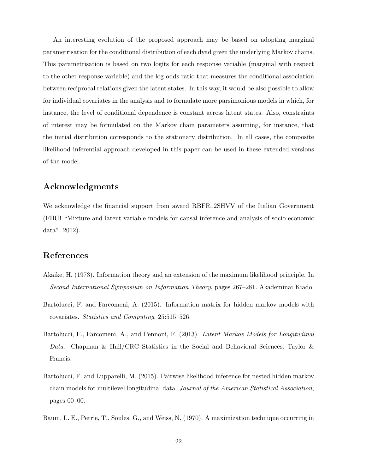An interesting evolution of the proposed approach may be based on adopting marginal parametrisation for the conditional distribution of each dyad given the underlying Markov chains. This parametrisation is based on two logits for each response variable (marginal with respect to the other response variable) and the log-odds ratio that measures the conditional association between reciprocal relations given the latent states. In this way, it would be also possible to allow for individual covariates in the analysis and to formulate more parsimonious models in which, for instance, the level of conditional dependence is constant across latent states. Also, constraints of interest may be formulated on the Markov chain parameters assuming, for instance, that the initial distribution corresponds to the stationary distribution. In all cases, the composite likelihood inferential approach developed in this paper can be used in these extended versions of the model.

## Acknowledgments

We acknowledge the financial support from award RBFR12SHVV of the Italian Government (FIRB "Mixture and latent variable models for causal inference and analysis of socio-economic data", 2012).

## References

- Akaike, H. (1973). Information theory and an extension of the maximum likelihood principle. In Second International Symposium on Information Theory, pages 267–281. Akademinai Kiado.
- Bartolucci, F. and Farcomeni, A. (2015). Information matrix for hidden markov models with covariates. Statistics and Computing, 25:515–526.
- Bartolucci, F., Farcomeni, A., and Pennoni, F. (2013). *Latent Markov Models for Longitudinal* Data. Chapman & Hall/CRC Statistics in the Social and Behavioral Sciences. Taylor & Francis.
- Bartolucci, F. and Lupparelli, M. (2015). Pairwise likelihood inference for nested hidden markov chain models for multilevel longitudinal data. Journal of the American Statistical Association, pages 00–00.
- Baum, L. E., Petrie, T., Soules, G., and Weiss, N. (1970). A maximization technique occurring in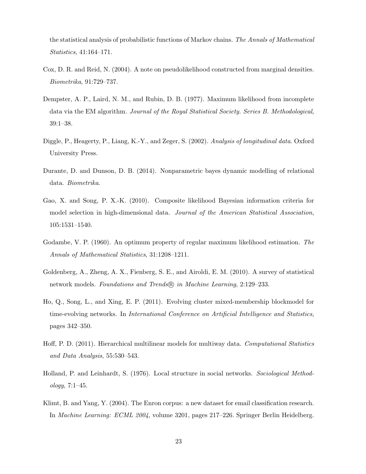the statistical analysis of probabilistic functions of Markov chains. The Annals of Mathematical Statistics, 41:164–171.

- Cox, D. R. and Reid, N. (2004). A note on pseudolikelihood constructed from marginal densities. Biometrika, 91:729–737.
- Dempster, A. P., Laird, N. M., and Rubin, D. B. (1977). Maximum likelihood from incomplete data via the EM algorithm. Journal of the Royal Statistical Society. Series B. Methodological, 39:1–38.
- Diggle, P., Heagerty, P., Liang, K.-Y., and Zeger, S. (2002). Analysis of longitudinal data. Oxford University Press.
- Durante, D. and Dunson, D. B. (2014). Nonparametric bayes dynamic modelling of relational data. Biometrika.
- Gao, X. and Song, P. X.-K. (2010). Composite likelihood Bayesian information criteria for model selection in high-dimensional data. Journal of the American Statistical Association, 105:1531–1540.
- Godambe, V. P. (1960). An optimum property of regular maximum likelihood estimation. The Annals of Mathematical Statistics, 31:1208–1211.
- Goldenberg, A., Zheng, A. X., Fienberg, S. E., and Airoldi, E. M. (2010). A survey of statistical network models. Foundations and Trends® in Machine Learning, 2:129–233.
- Ho, Q., Song, L., and Xing, E. P. (2011). Evolving cluster mixed-membership blockmodel for time-evolving networks. In International Conference on Artificial Intelligence and Statistics, pages 342–350.
- Hoff, P. D. (2011). Hierarchical multilinear models for multiway data. Computational Statistics and Data Analysis, 55:530–543.
- Holland, P. and Leinhardt, S. (1976). Local structure in social networks. Sociological Methodology, 7:1–45.
- Klimt, B. and Yang, Y. (2004). The Enron corpus: a new dataset for email classification research. In Machine Learning: ECML 2004, volume 3201, pages 217–226. Springer Berlin Heidelberg.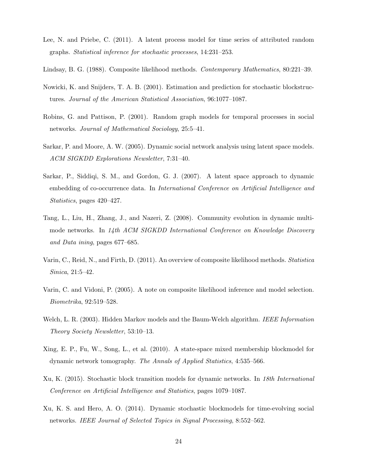- Lee, N. and Priebe, C. (2011). A latent process model for time series of attributed random graphs. Statistical inference for stochastic processes, 14:231–253.
- Lindsay, B. G. (1988). Composite likelihood methods. Contemporary Mathematics, 80:221–39.
- Nowicki, K. and Snijders, T. A. B. (2001). Estimation and prediction for stochastic blockstructures. Journal of the American Statistical Association, 96:1077–1087.
- Robins, G. and Pattison, P. (2001). Random graph models for temporal processes in social networks. Journal of Mathematical Sociology, 25:5–41.
- Sarkar, P. and Moore, A. W. (2005). Dynamic social network analysis using latent space models. ACM SIGKDD Explorations Newsletter, 7:31–40.
- Sarkar, P., Siddiqi, S. M., and Gordon, G. J. (2007). A latent space approach to dynamic embedding of co-occurrence data. In International Conference on Artificial Intelligence and Statistics, pages 420–427.
- Tang, L., Liu, H., Zhang, J., and Nazeri, Z. (2008). Community evolution in dynamic multimode networks. In 14th ACM SIGKDD International Conference on Knowledge Discovery and Data ining, pages 677–685.
- Varin, C., Reid, N., and Firth, D. (2011). An overview of composite likelihood methods. Statistica Sinica, 21:5–42.
- Varin, C. and Vidoni, P. (2005). A note on composite likelihood inference and model selection. Biometrika, 92:519–528.
- Welch, L. R. (2003). Hidden Markov models and the Baum-Welch algorithm. IEEE Information Theory Society Newsletter, 53:10–13.
- Xing, E. P., Fu, W., Song, L., et al. (2010). A state-space mixed membership blockmodel for dynamic network tomography. The Annals of Applied Statistics, 4:535–566.
- Xu, K. (2015). Stochastic block transition models for dynamic networks. In 18th International Conference on Artificial Intelligence and Statistics, pages 1079–1087.
- Xu, K. S. and Hero, A. O. (2014). Dynamic stochastic blockmodels for time-evolving social networks. IEEE Journal of Selected Topics in Signal Processing, 8:552–562.